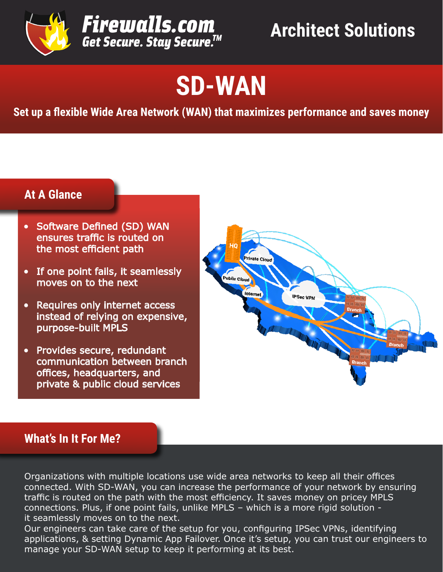

# **SD-WAN**

**Set up a flexible Wide Area Network (WAN) that maximizes performance and saves money**

# **At A Glance**

- Software Defined (SD) WAN ensures traffic is routed on the most efficient path
- If one point fails, it seamlessly moves on to the next
- Requires only internet access instead of relying on expensive, purpose-built MPLS
- Provides secure, redundant communication between branch offices, headquarters, and private & public cloud services



## **What's In It For Me?**

Organizations with multiple locations use wide area networks to keep all their offices connected. With SD-WAN, you can increase the performance of your network by ensuring traffic is routed on the path with the most efficiency. It saves money on pricey MPLS connections. Plus, if one point fails, unlike MPLS – which is a more rigid solution it seamlessly moves on to the next.

Our engineers can take care of the setup for you, configuring IPSec VPNs, identifying applications, & setting Dynamic App Failover. Once it's setup, you can trust our engineers to manage your SD-WAN setup to keep it performing at its best.